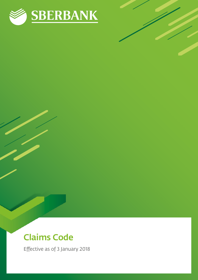

# Claims Code

Effective as of 3 January 2018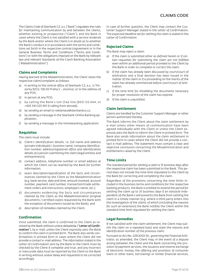The Claims Code of Sberbank CZ, a.s. ("Bank") regulates the rules for maintaining communication by and between the clients, whether existing or prospective ("Client"), and the Bank in cases where the Client is not satisfied with a service rendered by the Bank and/or where the Client is in doubt as to whether the Bank's conduct is in accordance with the terms and conditions set forth in the respective contract/agreement or in the General Business Terms and Conditions ("Terms and Conditions") or with the obligations imposed on the Bank by relevant law and relevant Standards of the Czech Banking Association ("Maladministration").

# **Claims and Complaints**

Having learned of the Maladministration, the Client raises the respective claim/complaint as follows:

- a) in writing to the central office of Sberbank CZ, a.s., U Trezorky 921/2, 158 00 Praha 5 – Jinonice; or to the address of any POS;
- b) in person at any POS;
- c) by calling the Bank's toll-free line (800 133 444; or +420 543 525 901 if calling from abroad);
- d) by sending an email to reklamace@sberbankcz.cz;
- e) by sending a message in the Sberbank Online Banking application;
- f) by sending a message in the Homebanking application.

# **Requisites**

The claim must include:

- a) Client's identification details, i.e. full name and address (private individuals) / business name, company identification number, address/registered office and identification details of a person submitting the claim (legal entities and entrepreneurs);
- b) contact address, telephone number or email address at which the Client can be reached by the Bank for further information;
- c) exact description/specification of the facts and circumstances claimed by the Client as the Maladministration (e.g. bank service, date and time, amount involved, account number, payment card number, transaction/trade settlement orders and instructions, employee's name, etc.);
- d) documents evidencing the facts and circumstances claimed by the Client as the Maladministration (original documents / certified copies requested by the Bank with the exception of documents issued by the Bank); and
- e) description of remedies claimed by the Client.

### **Confirmation**

Once submitted, the claim is confirmed to the Client as received by the Bank without undue delaydelay ("Letter of Confirmation"), by e-mail, unless the Client expressly asks the Bank to confirm the claim in printed form. The Bank also sends confirmations in printed form in cases where the Client did not provide a contact e-mail address. The information stated in the Letter of Confirmation sent by the Bank to the Client must be checked by the Client if complete and true; and any incorrect or inaccurate data must be reported by the Client to the Bank in writing without undue delay and requested to be corrected accordingly.

In case of further question, the Client may contact the Customer Support Manager stated in the Letter of Confirmation. The expected deadline set for settling the claim is stated in the Letter of Confirmation.

## **Rejected Claims**

The Bank may reject a claim:

- a) If the claim is submitted other as defined herein or if certain requisites for submitting the claim are not fulfilled even within an additional period provided to the Client by the Bank in order to complete or correct the claim.
- b) If the claim has already been discussed by court/court of arbitration and a final decision has been issued in the matter of the claim or if a proceeding on the merits of the claim has already commenced before court/court of arbitration.
- c) If the time limit for shredding the documents necessary for proper resolution of the claim has expired.
- d) If the claim is unjustified.

### **Claim Settlement**

Claims are handled by the Customer Support Manager or other person authorised thereby.

The Bank informs the Client about the claim settlement by e-mail unless other means of communication have been agreed individually with the Client or unless the Client expressly asks the Bank to inform the Client in printed form. The Bank also sends information about the claim settlement in printed form in cases where the Client did not provide a contact e-mail address. The statement must contain a clear and objective conclusion concerning the Misadministration and entitlements raised by the Client.

### **Time Limits**

The standard period for settling a claim is 15 business days after the respective claim has been submitted to the Bank. This period does not include the time limit stipulated to the Client by the Bank for correcting and completing the claim.

Regardless of the provisions concerning the time limits included in the business terms and conditions for the respective banking products, the Bank is entitled to extend the period for settling the claim up to 35 business days if an obstacle independent of the Bank's will prevents the Bank from settling the claim in a timely manner (e.g. where a third party enters into the investigation of the claim); of which (including the reasons for such an extension) the Bank notifies the Client within the standard time limit stipulated for settling the claim.

### **Legal Remedies**

If not satisfied with the claim settlement, the Client may submit the claim on a repeated basis and state the reasons and identification number of the previous claim.

Pursuant to Act No. 229/2002 Sb., governing the Financial Arbitrator, as amended, the Client may, in the event of a dispute arising between the Client and the Bank concerning the provision of payment services, the issuance and reverse exchange of electronic money, the offering and provision of consumer loans or other loans, borrowings or similar financial services,